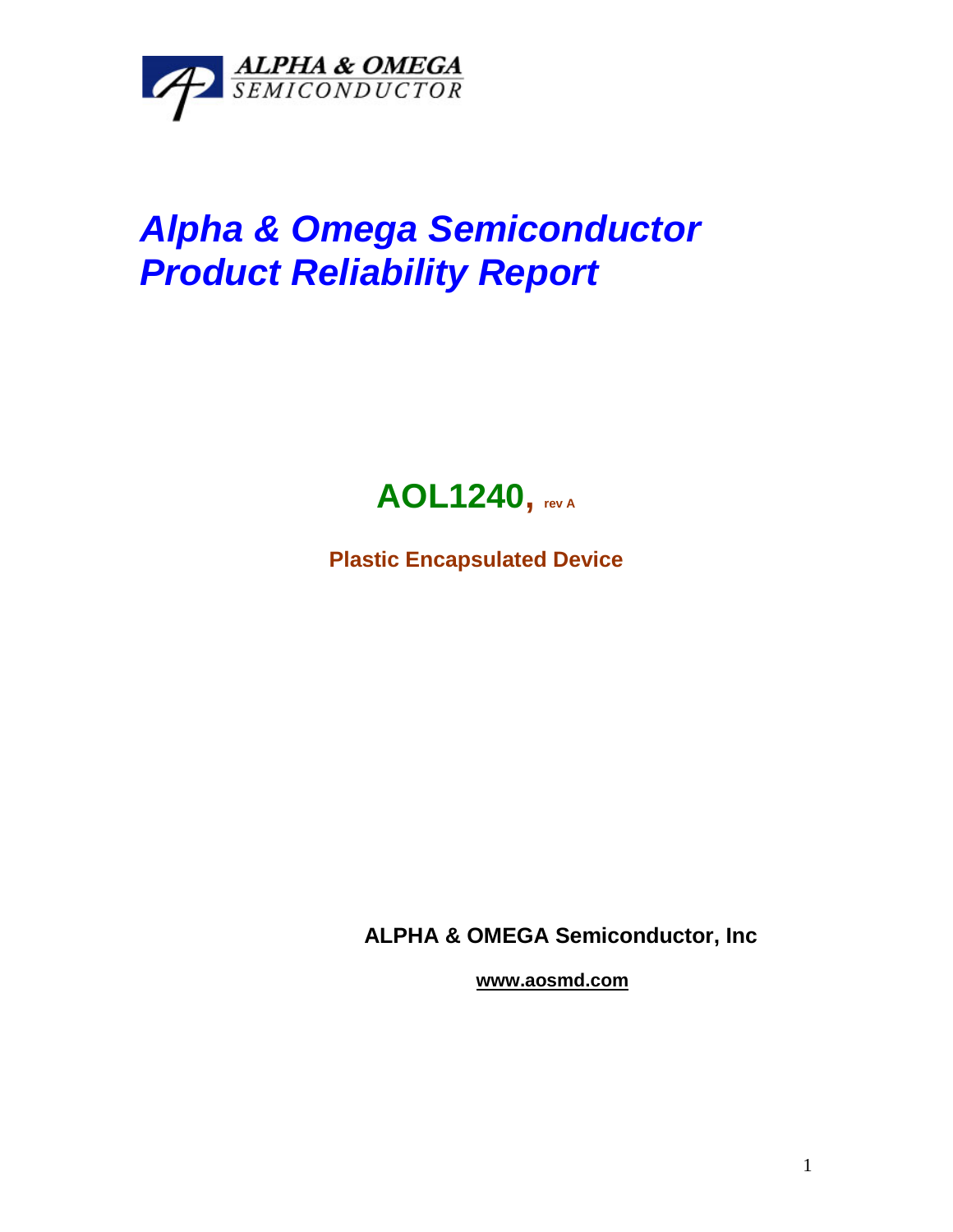

## *Alpha & Omega Semiconductor Product Reliability Report*



**Plastic Encapsulated Device**

**ALPHA & OMEGA Semiconductor, Inc**

**www.aosmd.com**